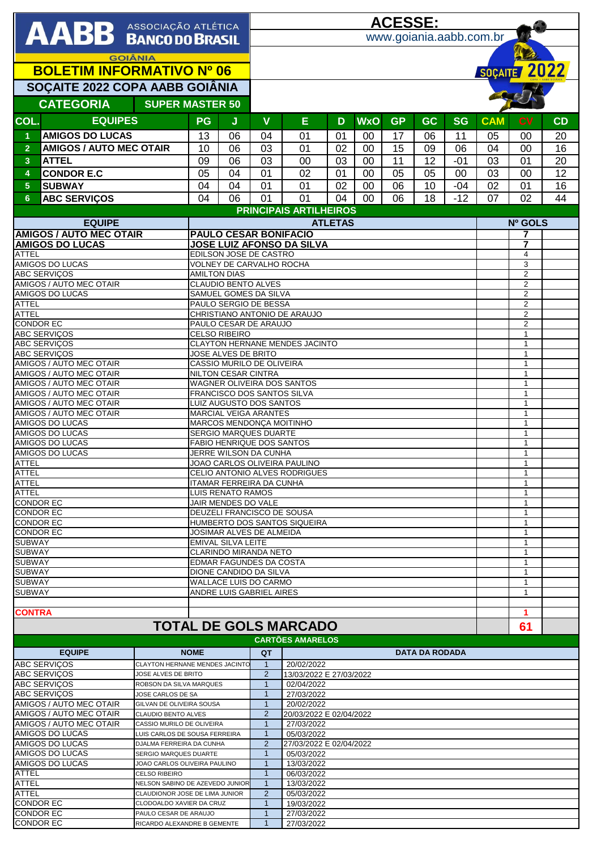|                                                                                         |                                                       |                                                          | <b>ACESSE:</b>                 |                                                                  |    |                             |           |                       |           |            |                                  |    |  |  |
|-----------------------------------------------------------------------------------------|-------------------------------------------------------|----------------------------------------------------------|--------------------------------|------------------------------------------------------------------|----|-----------------------------|-----------|-----------------------|-----------|------------|----------------------------------|----|--|--|
| AABB ASSOCIAÇÃO ATLÉTICA                                                                |                                                       |                                                          | www.goiania.aabb.com.br        |                                                                  |    |                             |           |                       |           |            |                                  |    |  |  |
|                                                                                         |                                                       |                                                          |                                |                                                                  |    |                             |           |                       |           |            |                                  |    |  |  |
| <b>GOIÂNIA</b>                                                                          |                                                       |                                                          |                                |                                                                  |    |                             |           |                       |           |            |                                  |    |  |  |
| <b>BOLETIM INFORMATIVO Nº 06</b>                                                        |                                                       |                                                          |                                |                                                                  |    |                             |           |                       |           |            | SOÇAITE 2022                     |    |  |  |
| SOÇAITE 2022 COPA AABB GOIÂNIA                                                          |                                                       |                                                          |                                |                                                                  |    |                             |           |                       |           |            |                                  |    |  |  |
| <b>CATEGORIA</b><br><b>SUPER MASTER 50</b>                                              |                                                       |                                                          |                                |                                                                  |    |                             |           |                       |           |            |                                  |    |  |  |
|                                                                                         |                                                       |                                                          |                                |                                                                  |    |                             |           |                       |           |            |                                  |    |  |  |
| <b>EQUIPES</b><br>COL.                                                                  | <b>PG</b>                                             | J                                                        | $\mathbf v$                    | E                                                                | D  | <b>WxO</b>                  | <b>GP</b> | <b>GC</b>             | <b>SG</b> | <b>CAM</b> | <b>CV</b>                        | CD |  |  |
| <b>AMIGOS DO LUCAS</b><br>$\blacktriangleleft$                                          | 13                                                    | 06                                                       | 04                             | 01                                                               | 01 | 00                          | 17        | 06                    | 11        | 05         | 00                               | 20 |  |  |
| <b>AMIGOS / AUTO MEC OTAIR</b><br>$\overline{2}$                                        | 10                                                    | 06                                                       | 03                             | 01                                                               | 02 | 00                          | 15        | 09                    | 06        | 04         | 00                               | 16 |  |  |
| 3 <sup>2</sup><br><b>ATTEL</b>                                                          | 09                                                    | 06                                                       | 03                             | 00                                                               | 03 | 00                          | 11        | 12                    | $-01$     | 03         | 01                               | 20 |  |  |
| <b>CONDOR E.C</b><br>4                                                                  | 05                                                    | 04                                                       | 01                             | 02                                                               | 01 | 00                          | 05        | 05                    | 00        | 03         | 00                               | 12 |  |  |
| <b>SUBWAY</b><br>$5\phantom{1}$                                                         | 04                                                    | 04                                                       | 01                             | 01                                                               | 02 | 00                          | 06        | 10                    | $-04$     | 02         | 01                               | 16 |  |  |
| <b>ABC SERVIÇOS</b><br>$6\phantom{1}$                                                   | 04                                                    | 06                                                       | 01                             | 01                                                               | 04 | $00\,$                      | 06        | 18                    | $-12$     | 07         | 02                               | 44 |  |  |
| <b>PRINCIPAIS ARTILHEIROS</b>                                                           |                                                       |                                                          |                                |                                                                  |    |                             |           |                       |           |            |                                  |    |  |  |
| <b>EQUIPE</b><br><b>AMIGOS / AUTO MEC OTAIR</b>                                         |                                                       |                                                          | <b>ATLETAS</b>                 |                                                                  |    |                             |           |                       |           |            | Nº GOLS<br>7                     |    |  |  |
| <b>AMIGOS DO LUCAS</b>                                                                  |                                                       |                                                          |                                | <b>PAULO CESAR BONIFACIO</b><br><b>JOSE LUIZ AFONSO DA SILVA</b> |    |                             |           |                       |           |            | $\overline{7}$                   |    |  |  |
| <b>ATTEL</b>                                                                            | EDILSON JOSE DE CASTRO                                |                                                          |                                |                                                                  |    |                             |           |                       |           |            | 4                                |    |  |  |
| <b>AMIGOS DO LUCAS</b>                                                                  | <b>VOLNEY DE CARVALHO ROCHA</b>                       |                                                          |                                |                                                                  |    |                             |           |                       |           |            | 3                                |    |  |  |
| <b>ABC SERVIÇOS</b><br>AMIGOS / AUTO MEC OTAIR                                          | <b>AMILTON DIAS</b><br>CLAUDIO BENTO ALVES            |                                                          |                                |                                                                  |    |                             |           |                       |           |            | $\overline{2}$<br>$\overline{c}$ |    |  |  |
| <b>AMIGOS DO LUCAS</b>                                                                  |                                                       |                                                          | SAMUEL GOMES DA SILVA          |                                                                  |    |                             |           |                       |           |            | $\overline{2}$                   |    |  |  |
| <b>ATTEL</b>                                                                            |                                                       |                                                          | PAULO SERGIO DE BESSA          |                                                                  |    |                             |           |                       |           |            | $\overline{2}$                   |    |  |  |
| <b>ATTEL</b>                                                                            |                                                       |                                                          |                                | CHRISTIANO ANTONIO DE ARAUJO                                     |    |                             |           |                       |           |            | $\sqrt{2}$                       |    |  |  |
| <b>CONDOR EC</b><br>PAULO CESAR DE ARAUJO                                               |                                                       |                                                          |                                |                                                                  |    |                             |           |                       |           |            | $\overline{2}$<br>$\mathbf{1}$   |    |  |  |
| <b>ABC SERVIÇOS</b><br><b>CELSO RIBEIRO</b><br><b>ABC SERVIÇOS</b>                      |                                                       |                                                          | CLAYTON HERNANE MENDES JACINTO |                                                                  |    |                             |           |                       |           |            | $\mathbf{1}$                     |    |  |  |
| <b>ABC SERVIÇOS</b><br>JOSE ALVES DE BRITO                                              |                                                       |                                                          |                                |                                                                  |    |                             |           |                       |           |            | $\mathbf{1}$                     |    |  |  |
| AMIGOS / AUTO MEC OTAIR                                                                 |                                                       |                                                          | CASSIO MURILO DE OLIVEIRA      |                                                                  |    |                             |           |                       |           |            |                                  |    |  |  |
| AMIGOS / AUTO MEC OTAIR<br><b>AMIGOS / AUTO MEC OTAIR</b>                               |                                                       | NILTON CESAR CINTRA<br>WAGNER OLIVEIRA DOS SANTOS        |                                |                                                                  |    |                             |           |                       |           |            | $\mathbf{1}$<br>$\mathbf{1}$     |    |  |  |
| AMIGOS / AUTO MEC OTAIR                                                                 |                                                       | FRANCISCO DOS SANTOS SILVA                               |                                |                                                                  |    |                             |           |                       |           |            | $\mathbf{1}$                     |    |  |  |
| AMIGOS / AUTO MEC OTAIR                                                                 |                                                       | LUIZ AUGUSTO DOS SANTOS                                  |                                |                                                                  |    |                             |           |                       |           |            | 1                                |    |  |  |
| AMIGOS / AUTO MEC OTAIR                                                                 |                                                       | <b>MARCIAL VEIGA ARANTES</b><br>MARCOS MENDONÇA MOITINHO |                                |                                                                  |    |                             |           |                       |           |            | $\mathbf{1}$<br>$\mathbf{1}$     |    |  |  |
| AMIGOS DO LUCAS<br><b>AMIGOS DO LUCAS</b>                                               |                                                       |                                                          | <b>SERGIO MARQUES DUARTE</b>   |                                                                  |    |                             |           |                       |           |            |                                  |    |  |  |
| AMIGOS DO LUCAS                                                                         |                                                       | <b>FABIO HENRIQUE DOS SANTOS</b>                         |                                |                                                                  |    |                             |           |                       |           |            | $\overline{1}$<br>$\mathbf{1}$   |    |  |  |
| AMIGOS DO LUCAS<br>JERRE WILSON DA CUNHA                                                |                                                       |                                                          |                                |                                                                  |    |                             |           |                       |           |            | $\mathbf{1}$                     |    |  |  |
| <b>ATTEL</b><br>JOAO CARLOS OLIVEIRA PAULINO                                            |                                                       |                                                          | CELIO ANTONIO ALVES RODRIGUES  |                                                                  |    |                             |           |                       |           |            | $\mathbf{1}$                     |    |  |  |
| ATTEL<br><b>ATTEL</b><br>ITAMAR FERREIRA DA CUNHA                                       |                                                       |                                                          |                                |                                                                  |    |                             |           |                       |           |            | 1<br>$\mathbf{1}$                |    |  |  |
| <b>ATTEL</b><br>LUIS RENATO RAMOS                                                       |                                                       |                                                          |                                |                                                                  |    |                             |           |                       |           |            | $\mathbf{1}$                     |    |  |  |
| <b>CONDOR EC</b><br>JAIR MENDES DO VALE                                                 |                                                       |                                                          | DEUZELI FRANCISCO DE SOUSA     |                                                                  |    |                             |           |                       |           |            | $\mathbf{1}$                     |    |  |  |
| <b>CONDOR EC</b><br><b>CONDOR EC</b>                                                    |                                                       |                                                          |                                |                                                                  |    | $\mathbf 1$<br>$\mathbf{1}$ |           |                       |           |            |                                  |    |  |  |
| <b>CONDOR EC</b>                                                                        |                                                       | HUMBERTO DOS SANTOS SIQUEIRA<br>JOSIMAR ALVES DE ALMEIDA |                                |                                                                  |    |                             |           |                       |           |            |                                  |    |  |  |
| <b>SUBWAY</b>                                                                           |                                                       | <b>EMIVAL SILVA LEITE</b>                                |                                |                                                                  |    |                             |           |                       |           |            |                                  |    |  |  |
| <b>SUBWAY</b>                                                                           |                                                       | <b>CLARINDO MIRANDA NETO</b>                             |                                |                                                                  |    |                             |           |                       |           |            |                                  |    |  |  |
| <b>SUBWAY</b><br><b>SUBWAY</b>                                                          |                                                       | EDMAR FAGUNDES DA COSTA<br>DIONE CANDIDO DA SILVA        |                                |                                                                  |    |                             |           |                       |           |            |                                  |    |  |  |
| <b>SUBWAY</b>                                                                           | <b>WALLACE LUIS DO CARMO</b>                          |                                                          |                                |                                                                  |    |                             |           |                       |           |            |                                  |    |  |  |
| <b>SUBWAY</b>                                                                           |                                                       |                                                          | ANDRE LUIS GABRIEL AIRES       |                                                                  |    |                             |           |                       |           |            | $\mathbf{1}$                     |    |  |  |
| <b>CONTRA</b>                                                                           |                                                       |                                                          |                                |                                                                  |    |                             |           |                       |           |            | 1                                |    |  |  |
|                                                                                         |                                                       |                                                          |                                | <b>TOTAL DE GOLS MARCADO</b>                                     |    |                             |           |                       |           |            |                                  |    |  |  |
|                                                                                         |                                                       |                                                          |                                |                                                                  |    |                             |           |                       |           |            | 61                               |    |  |  |
| <b>EQUIPE</b>                                                                           | <b>NOME</b>                                           |                                                          |                                | <b>CARTÕES AMARELOS</b>                                          |    |                             |           | <b>DATA DA RODADA</b> |           |            |                                  |    |  |  |
| <b>ABC SERVICOS</b>                                                                     |                                                       |                                                          | QT<br>$\mathbf{1}$             | 20/02/2022                                                       |    |                             |           |                       |           |            |                                  |    |  |  |
| ABC SERVIÇOS                                                                            | CLAYTON HERNANE MENDES JACINTC<br>JOSE ALVES DE BRITO |                                                          |                                | 2<br>13/03/2022 E 27/03/2022                                     |    |                             |           |                       |           |            |                                  |    |  |  |
| ABC SERVIÇOS                                                                            | ROBSON DA SILVA MARQUES                               |                                                          |                                | $\mathbf{1}$<br>02/04/2022                                       |    |                             |           |                       |           |            |                                  |    |  |  |
| <b>ABC SERVIÇOS</b>                                                                     | JOSE CARLOS DE SA                                     |                                                          | $\mathbf{1}$                   | 27/03/2022                                                       |    |                             |           |                       |           |            |                                  |    |  |  |
| AMIGOS / AUTO MEC OTAIR<br>AMIGOS / AUTO MEC OTAIR                                      | GILVAN DE OLIVEIRA SOUSA<br>CLAUDIO BENTO ALVES       |                                                          | $\mathbf{1}$<br>2              | 20/02/2022<br>20/03/2022 E 02/04/2022                            |    |                             |           |                       |           |            |                                  |    |  |  |
| AMIGOS / AUTO MEC OTAIR                                                                 | CASSIO MURILO DE OLIVEIRA                             |                                                          |                                | $\mathbf{1}$<br>27/03/2022                                       |    |                             |           |                       |           |            |                                  |    |  |  |
| AMIGOS DO LUCAS                                                                         | LUIS CARLOS DE SOUSA FERREIRA                         |                                                          |                                | $\mathbf{1}$<br>05/03/2022<br>2                                  |    |                             |           |                       |           |            |                                  |    |  |  |
| AMIGOS DO LUCAS<br>AMIGOS DO LUCAS                                                      | DJALMA FERREIRA DA CUNHA<br>SERGIO MARQUES DUARTE     |                                                          |                                | 27/03/2022 E 02/04/2022<br>05/03/2022                            |    |                             |           |                       |           |            |                                  |    |  |  |
| AMIGOS DO LUCAS                                                                         | JOAO CARLOS OLIVEIRA PAULINO                          |                                                          |                                | 13/03/2022                                                       |    |                             |           |                       |           |            |                                  |    |  |  |
| ATTEL<br><b>CELSO RIBEIRO</b>                                                           |                                                       |                                                          | $\mathbf{1}$<br>$\mathbf{1}$   | 06/03/2022                                                       |    |                             |           |                       |           |            |                                  |    |  |  |
| <b>ATTEL</b><br>NELSON SABINO DE AZEVEDO JUNIOR                                         |                                                       |                                                          | $\mathbf{1}$                   | 13/03/2022                                                       |    |                             |           |                       |           |            |                                  |    |  |  |
| ATTEL<br>CLAUDIONOR JOSE DE LIMA JUNIOR<br><b>CONDOR EC</b><br>CLODOALDO XAVIER DA CRUZ |                                                       |                                                          | 2<br>$\mathbf{1}$              | 05/03/2022<br>19/03/2022                                         |    |                             |           |                       |           |            |                                  |    |  |  |
| <b>CONDOR EC</b><br>PAULO CESAR DE ARAUJO                                               |                                                       |                                                          | $\mathbf{1}$<br>27/03/2022     |                                                                  |    |                             |           |                       |           |            |                                  |    |  |  |
| <b>CONDOR EC</b><br>RICARDO ALEXANDRE B GEMENTE                                         |                                                       |                                                          | $\mathbf{1}$                   | 27/03/2022                                                       |    |                             |           |                       |           |            |                                  |    |  |  |